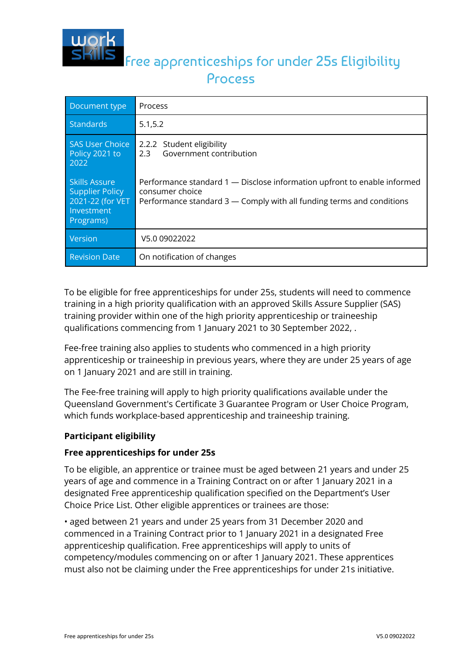

# Free apprenticeships for under 25s Eligibility Process

| Document type                                                                                 | Process                                                                                                                                                              |
|-----------------------------------------------------------------------------------------------|----------------------------------------------------------------------------------------------------------------------------------------------------------------------|
| Standards                                                                                     | 5.1, 5.2                                                                                                                                                             |
| <b>SAS User Choice</b><br>Policy 2021 to<br>2022                                              | 2.2.2 Student eligibility<br>Government contribution<br>2.3                                                                                                          |
| <b>Skills Assure</b><br><b>Supplier Policy</b><br>2021-22 (for VET<br>Investment<br>Programs) | Performance standard 1 — Disclose information upfront to enable informed<br>consumer choice<br>Performance standard 3 — Comply with all funding terms and conditions |
| Version                                                                                       | V5.0 09022022                                                                                                                                                        |
| <b>Revision Date</b>                                                                          | On notification of changes                                                                                                                                           |

To be eligible for free apprenticeships for under 25s, students will need to commence training in a high priority qualification with an approved Skills Assure Supplier (SAS) training provider within one of the high priority apprenticeship or traineeship qualifications commencing from 1 January 2021 to 30 September 2022, .

Fee-free training also applies to students who commenced in a high priority apprenticeship or traineeship in previous years, where they are under 25 years of age on 1 January 2021 and are still in training.

The Fee-free training will apply to high priority qualifications available under the Queensland Government's Certificate 3 Guarantee Program or User Choice Program, which funds workplace-based apprenticeship and traineeship training.

## **Participant eligibility**

## **Free apprenticeships for under 25s**

To be eligible, an apprentice or trainee must be aged between 21 years and under 25 years of age and commence in a Training Contract on or after 1 January 2021 in a designated Free apprenticeship qualification specified on the Department's User Choice Price List. Other eligible apprentices or trainees are those:

• aged between 21 years and under 25 years from 31 December 2020 and commenced in a Training Contract prior to 1 January 2021 in a designated Free apprenticeship qualification. Free apprenticeships will apply to units of competency/modules commencing on or after 1 January 2021. These apprentices must also not be claiming under the Free apprenticeships for under 21s initiative.